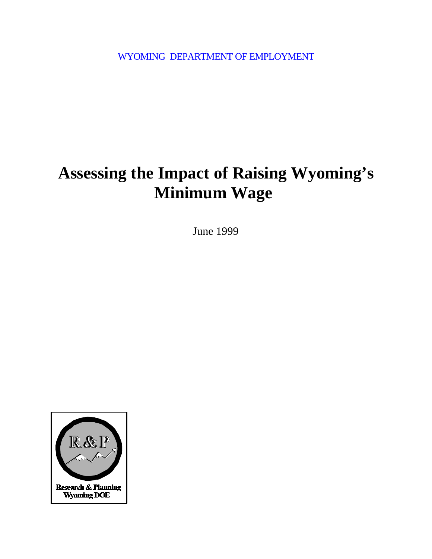WYOMING DEPARTMENT OF EMPLOYMENT

# **Assessing the Impact of Raising Wyoming's Minimum Wage**

June 1999

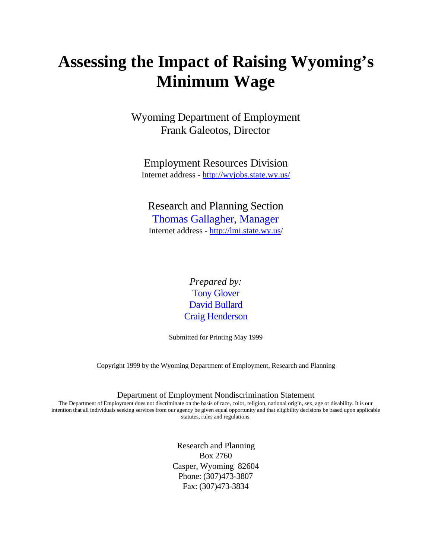# **Assessing the Impact of Raising Wyoming's Minimum Wage**

Wyoming Department of Employment Frank Galeotos, Director

Employment Resources Division Internet address - http://wyjobs.state.wy.us/

Research and Planning Section Thomas Gallagher, Manager Internet address - http://lmi.state.wy.us/

> *Prepared by:* Tony Glover David Bullard Craig Henderson

Submitted for Printing May 1999

Copyright 1999 by the Wyoming Department of Employment, Research and Planning

Department of Employment Nondiscrimination Statement

The Department of Employment does not discriminate on the basis of race, color, religion, national origin, sex, age or disability. It is our intention that all individuals seeking services from our agency be given equal opportunity and that eligibility decisions be based upon applicable statutes, rules and regulations.

> Research and Planning Box 2760 Casper, Wyoming 82604 Phone: (307)473-3807 Fax: (307)473-3834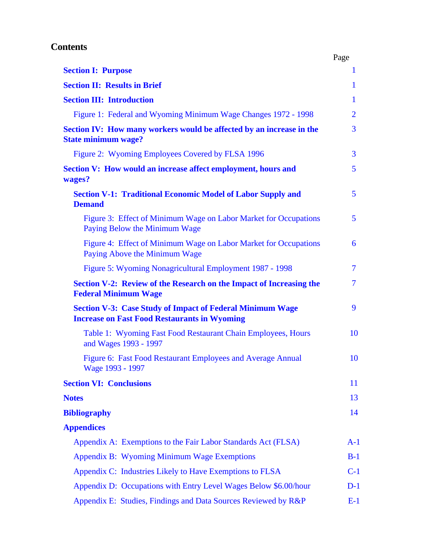# **Contents**

|                                                                                                                         | Page                     |
|-------------------------------------------------------------------------------------------------------------------------|--------------------------|
| <b>Section I: Purpose</b>                                                                                               | $\mathbf{1}$             |
| <b>Section II: Results in Brief</b>                                                                                     | $\mathbf{1}$             |
| <b>Section III: Introduction</b>                                                                                        | $\mathbf{1}$             |
| Figure 1: Federal and Wyoming Minimum Wage Changes 1972 - 1998                                                          | $\overline{2}$           |
| Section IV: How many workers would be affected by an increase in the<br><b>State minimum wage?</b>                      | $\overline{3}$           |
| Figure 2: Wyoming Employees Covered by FLSA 1996                                                                        | $\overline{3}$           |
| <b>Section V: How would an increase affect employment, hours and</b><br>wages?                                          | $5\overline{)}$          |
| <b>Section V-1: Traditional Economic Model of Labor Supply and</b><br><b>Demand</b>                                     | $5\overline{)}$          |
| Figure 3: Effect of Minimum Wage on Labor Market for Occupations<br>Paying Below the Minimum Wage                       | 5 <sup>5</sup>           |
| Figure 4: Effect of Minimum Wage on Labor Market for Occupations<br>Paying Above the Minimum Wage                       | 6                        |
| Figure 5: Wyoming Nonagricultural Employment 1987 - 1998                                                                | $\overline{\mathcal{I}}$ |
| Section V-2: Review of the Research on the Impact of Increasing the<br><b>Federal Minimum Wage</b>                      | $\overline{\mathcal{I}}$ |
| <b>Section V-3: Case Study of Impact of Federal Minimum Wage</b><br><b>Increase on Fast Food Restaurants in Wyoming</b> | 9                        |
| Table 1: Wyoming Fast Food Restaurant Chain Employees, Hours<br>and Wages 1993 - 1997                                   | 10                       |
| Figure 6: Fast Food Restaurant Employees and Average Annual<br>Wage 1993 - 1997                                         | 10                       |
| <b>Section VI: Conclusions</b>                                                                                          | 11                       |
| <b>Notes</b>                                                                                                            | 13                       |
| <b>Bibliography</b>                                                                                                     | 14                       |
| <b>Appendices</b>                                                                                                       |                          |
| Appendix A: Exemptions to the Fair Labor Standards Act (FLSA)                                                           | $A-1$                    |
| <b>Appendix B: Wyoming Minimum Wage Exemptions</b>                                                                      | $B-1$                    |
| Appendix C: Industries Likely to Have Exemptions to FLSA                                                                | $C-1$                    |
| Appendix D: Occupations with Entry Level Wages Below \$6.00/hour                                                        | $D-1$                    |
|                                                                                                                         |                          |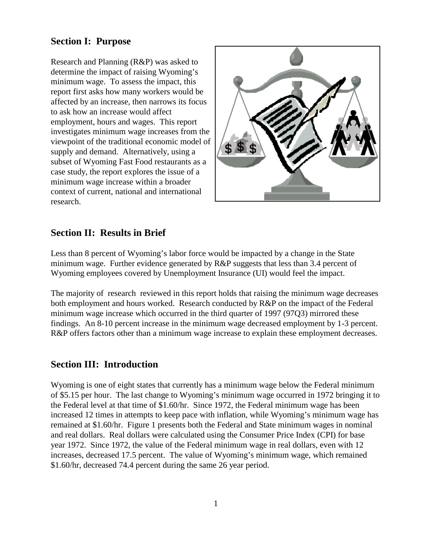# **Section I: Purpose**

Research and Planning (R&P) was asked to determine the impact of raising Wyoming's minimum wage. To assess the impact, this report first asks how many workers would be affected by an increase, then narrows its focus to ask how an increase would affect employment, hours and wages. This report investigates minimum wage increases from the viewpoint of the traditional economic model of supply and demand. Alternatively, using a subset of Wyoming Fast Food restaurants as a case study, the report explores the issue of a minimum wage increase within a broader context of current, national and international research.



# **Section II: Results in Brief**

Less than 8 percent of Wyoming's labor force would be impacted by a change in the State minimum wage. Further evidence generated by R&P suggests that less than 3.4 percent of Wyoming employees covered by Unemployment Insurance (UI) would feel the impact.

The majority of research reviewed in this report holds that raising the minimum wage decreases both employment and hours worked. Research conducted by R&P on the impact of the Federal minimum wage increase which occurred in the third quarter of 1997 (97Q3) mirrored these findings. An 8-10 percent increase in the minimum wage decreased employment by 1-3 percent. R&P offers factors other than a minimum wage increase to explain these employment decreases.

## **Section III: Introduction**

Wyoming is one of eight states that currently has a minimum wage below the Federal minimum of \$5.15 per hour. The last change to Wyoming's minimum wage occurred in 1972 bringing it to the Federal level at that time of \$1.60/hr. Since 1972, the Federal minimum wage has been increased 12 times in attempts to keep pace with inflation, while Wyoming's minimum wage has remained at \$1.60/hr. Figure 1 presents both the Federal and State minimum wages in nominal and real dollars. Real dollars were calculated using the Consumer Price Index (CPI) for base year 1972. Since 1972, the value of the Federal minimum wage in real dollars, even with 12 increases, decreased 17.5 percent. The value of Wyoming's minimum wage, which remained \$1.60/hr, decreased 74.4 percent during the same 26 year period.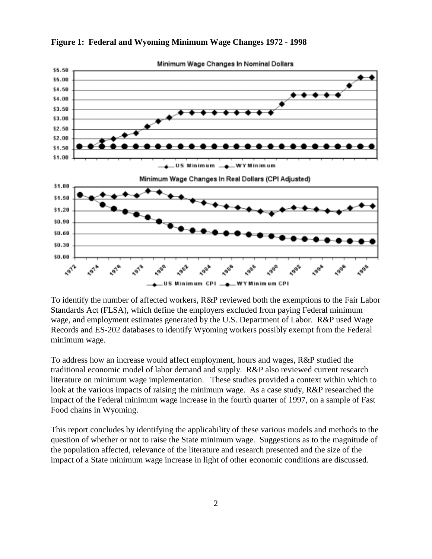

#### **Figure 1: Federal and Wyoming Minimum Wage Changes 1972 - 1998**

To identify the number of affected workers, R&P reviewed both the exemptions to the Fair Labor Standards Act (FLSA), which define the employers excluded from paying Federal minimum wage, and employment estimates generated by the U.S. Department of Labor. R&P used Wage Records and ES-202 databases to identify Wyoming workers possibly exempt from the Federal minimum wage.

To address how an increase would affect employment, hours and wages, R&P studied the traditional economic model of labor demand and supply. R&P also reviewed current research literature on minimum wage implementation. These studies provided a context within which to look at the various impacts of raising the minimum wage. As a case study, R&P researched the impact of the Federal minimum wage increase in the fourth quarter of 1997, on a sample of Fast Food chains in Wyoming.

This report concludes by identifying the applicability of these various models and methods to the question of whether or not to raise the State minimum wage. Suggestions as to the magnitude of the population affected, relevance of the literature and research presented and the size of the impact of a State minimum wage increase in light of other economic conditions are discussed.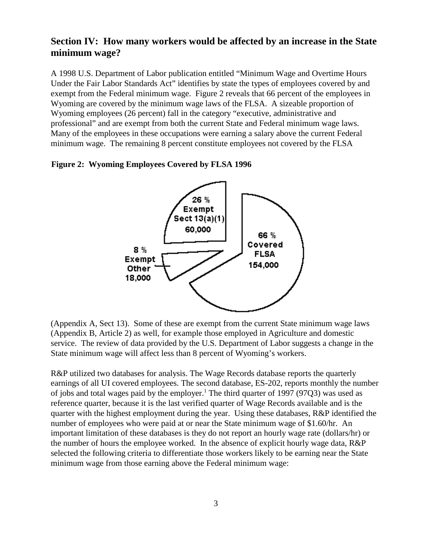# **Section IV: How many workers would be affected by an increase in the State minimum wage?**

A 1998 U.S. Department of Labor publication entitled "Minimum Wage and Overtime Hours Under the Fair Labor Standards Act" identifies by state the types of employees covered by and exempt from the Federal minimum wage. Figure 2 reveals that 66 percent of the employees in Wyoming are covered by the minimum wage laws of the FLSA. A sizeable proportion of Wyoming employees (26 percent) fall in the category "executive, administrative and professional" and are exempt from both the current State and Federal minimum wage laws. Many of the employees in these occupations were earning a salary above the current Federal minimum wage. The remaining 8 percent constitute employees not covered by the FLSA

#### **Figure 2: Wyoming Employees Covered by FLSA 1996**



(Appendix A, Sect 13). Some of these are exempt from the current State minimum wage laws (Appendix B, Article 2) as well, for example those employed in Agriculture and domestic service. The review of data provided by the U.S. Department of Labor suggests a change in the State minimum wage will affect less than 8 percent of Wyoming's workers.

R&P utilized two databases for analysis. The Wage Records database reports the quarterly earnings of all UI covered employees. The second database, ES-202, reports monthly the number of jobs and total wages paid by the employer.<sup>1</sup> The third quarter of 1997 (97Q3) was used as reference quarter, because it is the last verified quarter of Wage Records available and is the quarter with the highest employment during the year. Using these databases, R&P identified the number of employees who were paid at or near the State minimum wage of \$1.60/hr. An important limitation of these databases is they do not report an hourly wage rate (dollars/hr) or the number of hours the employee worked. In the absence of explicit hourly wage data, R&P selected the following criteria to differentiate those workers likely to be earning near the State minimum wage from those earning above the Federal minimum wage: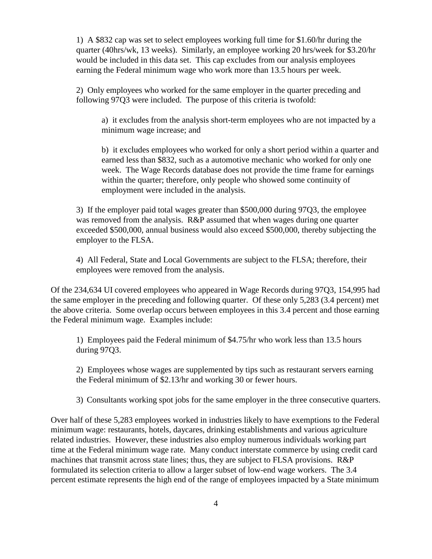1) A \$832 cap was set to select employees working full time for \$1.60/hr during the quarter (40hrs/wk, 13 weeks). Similarly, an employee working 20 hrs/week for \$3.20/hr would be included in this data set. This cap excludes from our analysis employees earning the Federal minimum wage who work more than 13.5 hours per week.

2) Only employees who worked for the same employer in the quarter preceding and following 97Q3 were included. The purpose of this criteria is twofold:

a) it excludes from the analysis short-term employees who are not impacted by a minimum wage increase; and

b) it excludes employees who worked for only a short period within a quarter and earned less than \$832, such as a automotive mechanic who worked for only one week. The Wage Records database does not provide the time frame for earnings within the quarter; therefore, only people who showed some continuity of employment were included in the analysis.

3) If the employer paid total wages greater than \$500,000 during 97Q3, the employee was removed from the analysis. R&P assumed that when wages during one quarter exceeded \$500,000, annual business would also exceed \$500,000, thereby subjecting the employer to the FLSA.

4) All Federal, State and Local Governments are subject to the FLSA; therefore, their employees were removed from the analysis.

Of the 234,634 UI covered employees who appeared in Wage Records during 97Q3, 154,995 had the same employer in the preceding and following quarter. Of these only 5,283 (3.4 percent) met the above criteria. Some overlap occurs between employees in this 3.4 percent and those earning the Federal minimum wage. Examples include:

1) Employees paid the Federal minimum of \$4.75/hr who work less than 13.5 hours during 97Q3.

2) Employees whose wages are supplemented by tips such as restaurant servers earning the Federal minimum of \$2.13/hr and working 30 or fewer hours.

3) Consultants working spot jobs for the same employer in the three consecutive quarters.

Over half of these 5,283 employees worked in industries likely to have exemptions to the Federal minimum wage: restaurants, hotels, daycares, drinking establishments and various agriculture related industries. However, these industries also employ numerous individuals working part time at the Federal minimum wage rate. Many conduct interstate commerce by using credit card machines that transmit across state lines; thus, they are subject to FLSA provisions. R&P formulated its selection criteria to allow a larger subset of low-end wage workers. The 3.4 percent estimate represents the high end of the range of employees impacted by a State minimum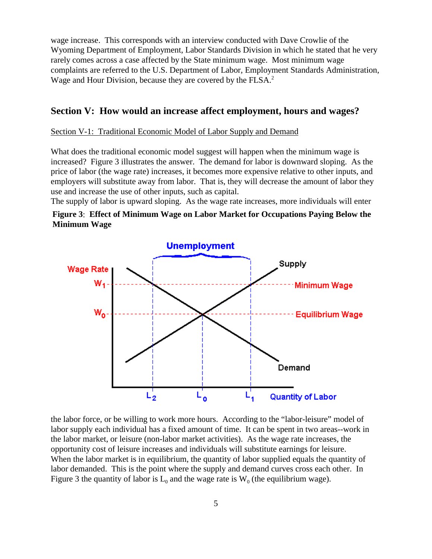wage increase. This corresponds with an interview conducted with Dave Crowlie of the Wyoming Department of Employment, Labor Standards Division in which he stated that he very rarely comes across a case affected by the State minimum wage. Most minimum wage complaints are referred to the U.S. Department of Labor, Employment Standards Administration, Wage and Hour Division, because they are covered by the FLSA.<sup>2</sup>

#### **Section V: How would an increase affect employment, hours and wages?**

#### Section V-1: Traditional Economic Model of Labor Supply and Demand

What does the traditional economic model suggest will happen when the minimum wage is increased? Figure 3 illustrates the answer. The demand for labor is downward sloping. As the price of labor (the wage rate) increases, it becomes more expensive relative to other inputs, and employers will substitute away from labor. That is, they will decrease the amount of labor they use and increase the use of other inputs, such as capital.

The supply of labor is upward sloping. As the wage rate increases, more individuals will enter

#### **Figure 3**: **Effect of Minimum Wage on Labor Market for Occupations Paying Below the Minimum Wage**



the labor force, or be willing to work more hours. According to the "labor-leisure" model of labor supply each individual has a fixed amount of time. It can be spent in two areas--work in the labor market, or leisure (non-labor market activities). As the wage rate increases, the opportunity cost of leisure increases and individuals will substitute earnings for leisure. When the labor market is in equilibrium, the quantity of labor supplied equals the quantity of labor demanded. This is the point where the supply and demand curves cross each other. In Figure 3 the quantity of labor is  $L_0$  and the wage rate is  $W_0$  (the equilibrium wage).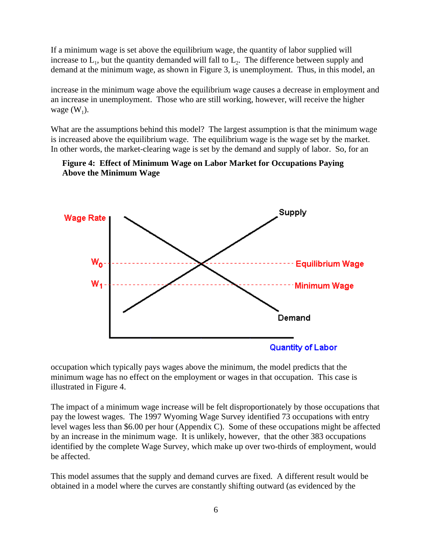If a minimum wage is set above the equilibrium wage, the quantity of labor supplied will increase to  $L_1$ , but the quantity demanded will fall to  $L_2$ . The difference between supply and demand at the minimum wage, as shown in Figure 3, is unemployment. Thus, in this model, an

increase in the minimum wage above the equilibrium wage causes a decrease in employment and an increase in unemployment. Those who are still working, however, will receive the higher wage  $(W_1)$ .

What are the assumptions behind this model? The largest assumption is that the minimum wage is increased above the equilibrium wage. The equilibrium wage is the wage set by the market. In other words, the market-clearing wage is set by the demand and supply of labor. So, for an

#### **Figure 4: Effect of Minimum Wage on Labor Market for Occupations Paying Above the Minimum Wage**



occupation which typically pays wages above the minimum, the model predicts that the minimum wage has no effect on the employment or wages in that occupation. This case is illustrated in Figure 4.

The impact of a minimum wage increase will be felt disproportionately by those occupations that pay the lowest wages. The 1997 Wyoming Wage Survey identified 73 occupations with entry level wages less than \$6.00 per hour (Appendix C). Some of these occupations might be affected by an increase in the minimum wage. It is unlikely, however, that the other 383 occupations identified by the complete Wage Survey, which make up over two-thirds of employment, would be affected.

This model assumes that the supply and demand curves are fixed. A different result would be obtained in a model where the curves are constantly shifting outward (as evidenced by the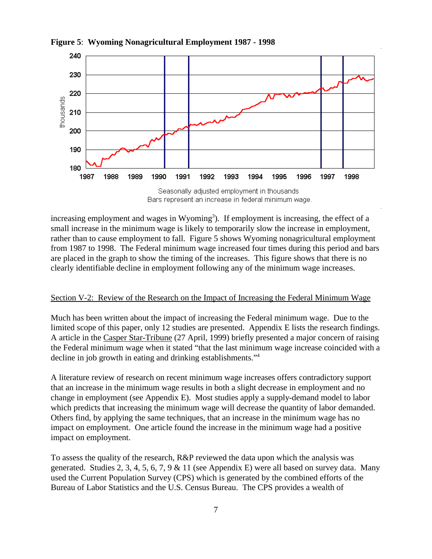

**Figure 5**: **Wyoming Nonagricultural Employment 1987 - 1998**

Bars represent an increase in federal minimum wage.

increasing employment and wages in Wyoming<sup>3</sup>). If employment is increasing, the effect of a small increase in the minimum wage is likely to temporarily slow the increase in employment, rather than to cause employment to fall. Figure 5 shows Wyoming nonagricultural employment from 1987 to 1998. The Federal minimum wage increased four times during this period and bars are placed in the graph to show the timing of the increases. This figure shows that there is no clearly identifiable decline in employment following any of the minimum wage increases.

#### Section V-2: Review of the Research on the Impact of Increasing the Federal Minimum Wage

Much has been written about the impact of increasing the Federal minimum wage. Due to the limited scope of this paper, only 12 studies are presented. Appendix E lists the research findings. A article in the Casper Star-Tribune (27 April, 1999) briefly presented a major concern of raising the Federal minimum wage when it stated "that the last minimum wage increase coincided with a decline in job growth in eating and drinking establishments."4

A literature review of research on recent minimum wage increases offers contradictory support that an increase in the minimum wage results in both a slight decrease in employment and no change in employment (see Appendix E). Most studies apply a supply-demand model to labor which predicts that increasing the minimum wage will decrease the quantity of labor demanded. Others find, by applying the same techniques, that an increase in the minimum wage has no impact on employment. One article found the increase in the minimum wage had a positive impact on employment.

To assess the quality of the research, R&P reviewed the data upon which the analysis was generated. Studies 2, 3, 4, 5, 6, 7, 9 & 11 (see Appendix E) were all based on survey data. Many used the Current Population Survey (CPS) which is generated by the combined efforts of the Bureau of Labor Statistics and the U.S. Census Bureau. The CPS provides a wealth of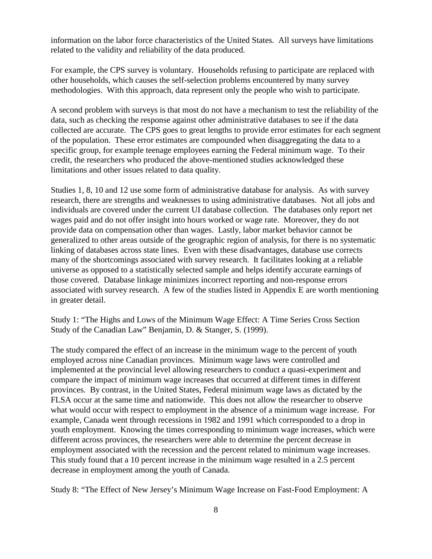information on the labor force characteristics of the United States. All surveys have limitations related to the validity and reliability of the data produced.

For example, the CPS survey is voluntary. Households refusing to participate are replaced with other households, which causes the self-selection problems encountered by many survey methodologies. With this approach, data represent only the people who wish to participate.

A second problem with surveys is that most do not have a mechanism to test the reliability of the data, such as checking the response against other administrative databases to see if the data collected are accurate. The CPS goes to great lengths to provide error estimates for each segment of the population. These error estimates are compounded when disaggregating the data to a specific group, for example teenage employees earning the Federal minimum wage. To their credit, the researchers who produced the above-mentioned studies acknowledged these limitations and other issues related to data quality.

Studies 1, 8, 10 and 12 use some form of administrative database for analysis. As with survey research, there are strengths and weaknesses to using administrative databases. Not all jobs and individuals are covered under the current UI database collection. The databases only report net wages paid and do not offer insight into hours worked or wage rate. Moreover, they do not provide data on compensation other than wages. Lastly, labor market behavior cannot be generalized to other areas outside of the geographic region of analysis, for there is no systematic linking of databases across state lines. Even with these disadvantages, database use corrects many of the shortcomings associated with survey research. It facilitates looking at a reliable universe as opposed to a statistically selected sample and helps identify accurate earnings of those covered. Database linkage minimizes incorrect reporting and non-response errors associated with survey research. A few of the studies listed in Appendix E are worth mentioning in greater detail.

Study 1: "The Highs and Lows of the Minimum Wage Effect: A Time Series Cross Section Study of the Canadian Law" Benjamin, D. & Stanger, S. (1999).

The study compared the effect of an increase in the minimum wage to the percent of youth employed across nine Canadian provinces. Minimum wage laws were controlled and implemented at the provincial level allowing researchers to conduct a quasi-experiment and compare the impact of minimum wage increases that occurred at different times in different provinces. By contrast, in the United States, Federal minimum wage laws as dictated by the FLSA occur at the same time and nationwide. This does not allow the researcher to observe what would occur with respect to employment in the absence of a minimum wage increase. For example, Canada went through recessions in 1982 and 1991 which corresponded to a drop in youth employment. Knowing the times corresponding to minimum wage increases, which were different across provinces, the researchers were able to determine the percent decrease in employment associated with the recession and the percent related to minimum wage increases. This study found that a 10 percent increase in the minimum wage resulted in a 2.5 percent decrease in employment among the youth of Canada.

Study 8: "The Effect of New Jersey's Minimum Wage Increase on Fast-Food Employment: A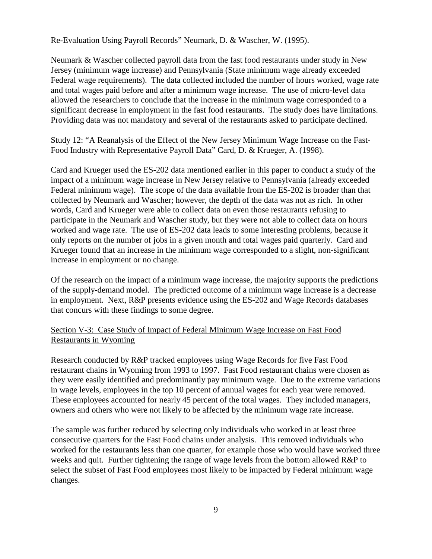Re-Evaluation Using Payroll Records" Neumark, D. & Wascher, W. (1995).

Neumark & Wascher collected payroll data from the fast food restaurants under study in New Jersey (minimum wage increase) and Pennsylvania (State minimum wage already exceeded Federal wage requirements). The data collected included the number of hours worked, wage rate and total wages paid before and after a minimum wage increase. The use of micro-level data allowed the researchers to conclude that the increase in the minimum wage corresponded to a significant decrease in employment in the fast food restaurants. The study does have limitations. Providing data was not mandatory and several of the restaurants asked to participate declined.

Study 12: "A Reanalysis of the Effect of the New Jersey Minimum Wage Increase on the Fast-Food Industry with Representative Payroll Data" Card, D. & Krueger, A. (1998).

Card and Krueger used the ES-202 data mentioned earlier in this paper to conduct a study of the impact of a minimum wage increase in New Jersey relative to Pennsylvania (already exceeded Federal minimum wage). The scope of the data available from the ES-202 is broader than that collected by Neumark and Wascher; however, the depth of the data was not as rich. In other words, Card and Krueger were able to collect data on even those restaurants refusing to participate in the Neumark and Wascher study, but they were not able to collect data on hours worked and wage rate. The use of ES-202 data leads to some interesting problems, because it only reports on the number of jobs in a given month and total wages paid quarterly. Card and Krueger found that an increase in the minimum wage corresponded to a slight, non-significant increase in employment or no change.

Of the research on the impact of a minimum wage increase, the majority supports the predictions of the supply-demand model. The predicted outcome of a minimum wage increase is a decrease in employment. Next, R&P presents evidence using the ES-202 and Wage Records databases that concurs with these findings to some degree.

#### Section V-3: Case Study of Impact of Federal Minimum Wage Increase on Fast Food Restaurants in Wyoming

Research conducted by R&P tracked employees using Wage Records for five Fast Food restaurant chains in Wyoming from 1993 to 1997. Fast Food restaurant chains were chosen as they were easily identified and predominantly pay minimum wage. Due to the extreme variations in wage levels, employees in the top 10 percent of annual wages for each year were removed. These employees accounted for nearly 45 percent of the total wages. They included managers, owners and others who were not likely to be affected by the minimum wage rate increase.

The sample was further reduced by selecting only individuals who worked in at least three consecutive quarters for the Fast Food chains under analysis. This removed individuals who worked for the restaurants less than one quarter, for example those who would have worked three weeks and quit. Further tightening the range of wage levels from the bottom allowed R&P to select the subset of Fast Food employees most likely to be impacted by Federal minimum wage changes.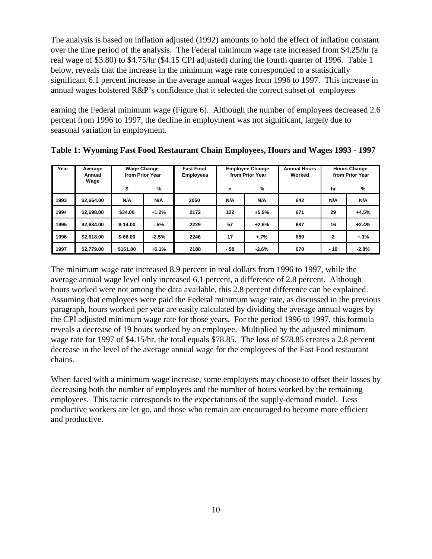The analysis is based on inflation adjusted (1992) amounts to hold the effect of inflation constant over the time period of the analysis. The Federal minimum wage rate increased from \$4.25/hr (a real wage of \$3.80) to \$4.75/hr (\$4.15 CPI adjusted) during the fourth quarter of 1996. Table 1 below, reveals that the increase in the minimum wage rate corresponded to a statistically significant 6.1 percent increase in the average annual wages from 1996 to 1997. This increase in annual wages bolstered R&P's confidence that it selected the correct subset of employees

earning the Federal minimum wage (Figure 6). Although the number of employees decreased 2.6 percent from 1996 to 1997, the decline in employment was not significant, largely due to seasonal variation in employment.

| Year | Average<br>Annual<br>Wage | <b>Wage Change</b> | from Prior Year | <b>Fast Food</b><br><b>Employees</b> | <b>Employee Change</b><br>from Prior Year |         | <b>Annual Hours</b><br>Worked |              | <b>Hours Change</b><br>from Prior Year |
|------|---------------------------|--------------------|-----------------|--------------------------------------|-------------------------------------------|---------|-------------------------------|--------------|----------------------------------------|
|      |                           | \$                 | %               |                                      | n                                         | %       |                               | hr           | %                                      |
| 1993 | \$2,664.00                | N/A                | N/A             | 2050                                 | N/A                                       | N/A     | 642                           | N/A          | N/A                                    |
| 1994 | \$2,698.00                | \$34.00            | $+1.2%$         | 2172                                 | 122                                       | $+5.9%$ | 671                           | 29           | $+4.5%$                                |
| 1995 | \$2,684.00                | $$-14.00$          | $-5%$           | 2229                                 | 57                                        | $+2.6%$ | 687                           | 16           | $+2.4%$                                |
| 1996 | \$2,618.00                | $$ -66.00$         | $-2.5%$         | 2246                                 | 17                                        | $+.7%$  | 689                           | $\mathbf{2}$ | $+.3%$                                 |
| 1997 | \$2,779.00                | \$161.00           | $+6.1%$         | 2188                                 | - 58                                      | $-2.6%$ | 670                           | $-19$        | $-2.8%$                                |

**Table 1: Wyoming Fast Food Restaurant Chain Employees, Hours and Wages 1993 - 1997**

The minimum wage rate increased 8.9 percent in real dollars from 1996 to 1997, while the average annual wage level only increased 6.1 percent, a difference of 2.8 percent. Although hours worked were not among the data available, this 2.8 percent difference can be explained. Assuming that employees were paid the Federal minimum wage rate, as discussed in the previous paragraph, hours worked per year are easily calculated by dividing the average annual wages by the CPI adjusted minimum wage rate for those years. For the period 1996 to 1997, this formula reveals a decrease of 19 hours worked by an employee. Multiplied by the adjusted minimum wage rate for 1997 of \$4.15/hr, the total equals \$78.85. The loss of \$78.85 creates a 2.8 percent decrease in the level of the average annual wage for the employees of the Fast Food restaurant chains.

When faced with a minimum wage increase, some employers may choose to offset their losses by decreasing both the number of employees and the number of hours worked by the remaining employees. This tactic corresponds to the expectations of the supply-demand model. Less productive workers are let go, and those who remain are encouraged to become more efficient and productive.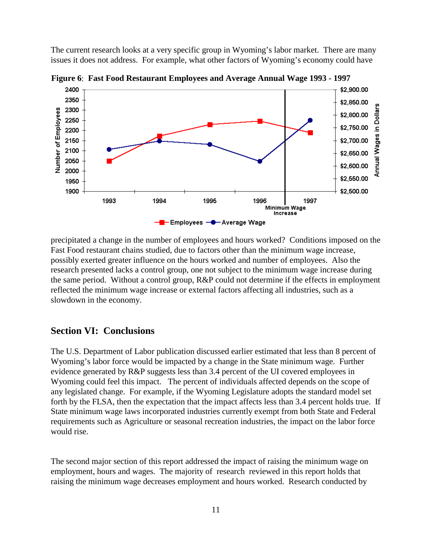The current research looks at a very specific group in Wyoming's labor market. There are many issues it does not address. For example, what other factors of Wyoming's economy could have



**Figure 6**: **Fast Food Restaurant Employees and Average Annual Wage 1993 - 1997**

precipitated a change in the number of employees and hours worked? Conditions imposed on the Fast Food restaurant chains studied, due to factors other than the minimum wage increase, possibly exerted greater influence on the hours worked and number of employees. Also the research presented lacks a control group, one not subject to the minimum wage increase during the same period. Without a control group, R&P could not determine if the effects in employment reflected the minimum wage increase or external factors affecting all industries, such as a slowdown in the economy.

### **Section VI: Conclusions**

The U.S. Department of Labor publication discussed earlier estimated that less than 8 percent of Wyoming's labor force would be impacted by a change in the State minimum wage. Further evidence generated by R&P suggests less than 3.4 percent of the UI covered employees in Wyoming could feel this impact. The percent of individuals affected depends on the scope of any legislated change. For example, if the Wyoming Legislature adopts the standard model set forth by the FLSA, then the expectation that the impact affects less than 3.4 percent holds true. If State minimum wage laws incorporated industries currently exempt from both State and Federal requirements such as Agriculture or seasonal recreation industries, the impact on the labor force would rise.

The second major section of this report addressed the impact of raising the minimum wage on employment, hours and wages. The majority of research reviewed in this report holds that raising the minimum wage decreases employment and hours worked. Research conducted by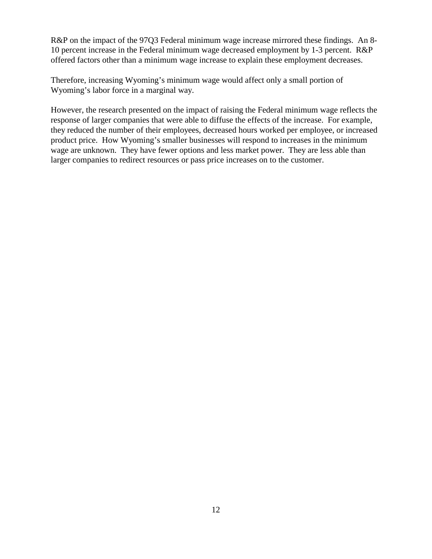R&P on the impact of the 97Q3 Federal minimum wage increase mirrored these findings. An 8-10 percent increase in the Federal minimum wage decreased employment by 1-3 percent. R&P offered factors other than a minimum wage increase to explain these employment decreases.

Therefore, increasing Wyoming's minimum wage would affect only a small portion of Wyoming's labor force in a marginal way.

However, the research presented on the impact of raising the Federal minimum wage reflects the response of larger companies that were able to diffuse the effects of the increase. For example, they reduced the number of their employees, decreased hours worked per employee, or increased product price. How Wyoming's smaller businesses will respond to increases in the minimum wage are unknown. They have fewer options and less market power. They are less able than larger companies to redirect resources or pass price increases on to the customer.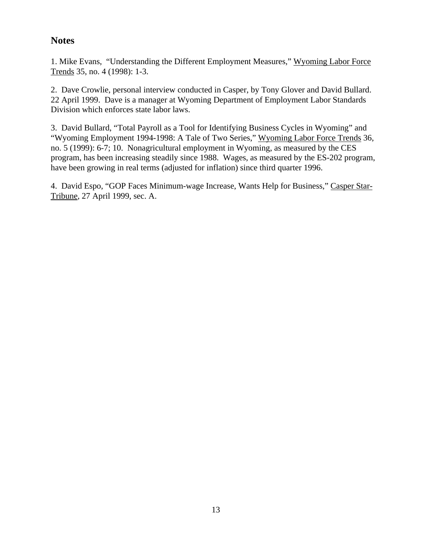# **Notes**

1. Mike Evans, "Understanding the Different Employment Measures," Wyoming Labor Force Trends 35, no. 4 (1998): 1-3.

2. Dave Crowlie, personal interview conducted in Casper, by Tony Glover and David Bullard. 22 April 1999. Dave is a manager at Wyoming Department of Employment Labor Standards Division which enforces state labor laws.

3. David Bullard, "Total Payroll as a Tool for Identifying Business Cycles in Wyoming" and "Wyoming Employment 1994-1998: A Tale of Two Series," Wyoming Labor Force Trends 36, no. 5 (1999): 6-7; 10. Nonagricultural employment in Wyoming, as measured by the CES program, has been increasing steadily since 1988. Wages, as measured by the ES-202 program, have been growing in real terms (adjusted for inflation) since third quarter 1996.

4. David Espo, "GOP Faces Minimum-wage Increase, Wants Help for Business," Casper Star-Tribune, 27 April 1999, sec. A.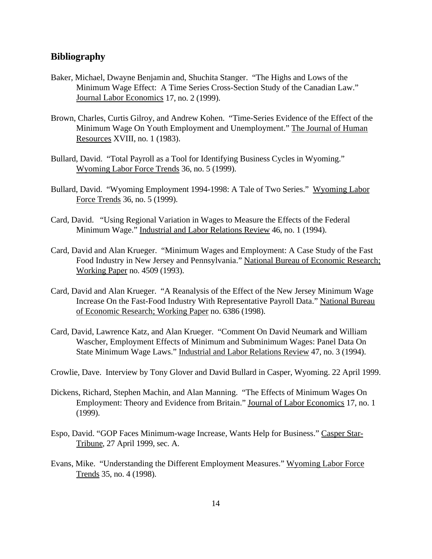#### **Bibliography**

- Baker, Michael, Dwayne Benjamin and, Shuchita Stanger. "The Highs and Lows of the Minimum Wage Effect: A Time Series Cross-Section Study of the Canadian Law." Journal Labor Economics 17, no. 2 (1999).
- Brown, Charles, Curtis Gilroy, and Andrew Kohen. "Time-Series Evidence of the Effect of the Minimum Wage On Youth Employment and Unemployment." The Journal of Human Resources XVIII, no. 1 (1983).
- Bullard, David. "Total Payroll as a Tool for Identifying Business Cycles in Wyoming." Wyoming Labor Force Trends 36, no. 5 (1999).
- Bullard, David. "Wyoming Employment 1994-1998: A Tale of Two Series." Wyoming Labor Force Trends 36, no. 5 (1999).
- Card, David. "Using Regional Variation in Wages to Measure the Effects of the Federal Minimum Wage." Industrial and Labor Relations Review 46, no. 1 (1994).
- Card, David and Alan Krueger. "Minimum Wages and Employment: A Case Study of the Fast Food Industry in New Jersey and Pennsylvania." National Bureau of Economic Research; Working Paper no. 4509 (1993).
- Card, David and Alan Krueger. "A Reanalysis of the Effect of the New Jersey Minimum Wage Increase On the Fast-Food Industry With Representative Payroll Data." National Bureau of Economic Research; Working Paper no. 6386 (1998).
- Card, David, Lawrence Katz, and Alan Krueger. "Comment On David Neumark and William Wascher, Employment Effects of Minimum and Subminimum Wages: Panel Data On State Minimum Wage Laws." Industrial and Labor Relations Review 47, no. 3 (1994).
- Crowlie, Dave. Interview by Tony Glover and David Bullard in Casper, Wyoming. 22 April 1999.
- Dickens, Richard, Stephen Machin, and Alan Manning. "The Effects of Minimum Wages On Employment: Theory and Evidence from Britain." Journal of Labor Economics 17, no. 1 (1999).
- Espo, David. "GOP Faces Minimum-wage Increase, Wants Help for Business." Casper Star-Tribune, 27 April 1999, sec. A.
- Evans, Mike. "Understanding the Different Employment Measures." Wyoming Labor Force Trends 35, no. 4 (1998).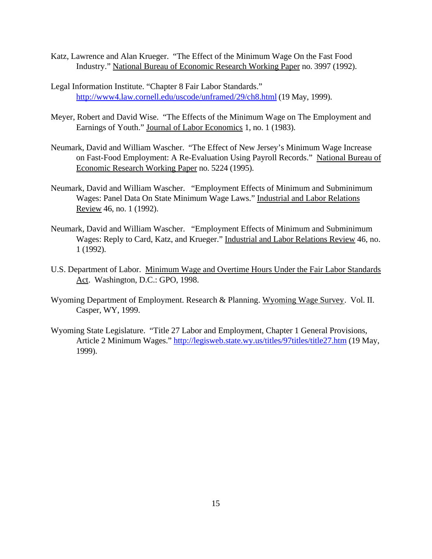- Katz, Lawrence and Alan Krueger. "The Effect of the Minimum Wage On the Fast Food Industry." National Bureau of Economic Research Working Paper no. 3997 (1992).
- Legal Information Institute. "Chapter 8 Fair Labor Standards." http://www4.law.cornell.edu/uscode/unframed/29/ch8.html (19 May, 1999).
- Meyer, Robert and David Wise. "The Effects of the Minimum Wage on The Employment and Earnings of Youth." Journal of Labor Economics 1, no. 1 (1983).
- Neumark, David and William Wascher. "The Effect of New Jersey's Minimum Wage Increase on Fast-Food Employment: A Re-Evaluation Using Payroll Records." National Bureau of Economic Research Working Paper no. 5224 (1995).
- Neumark, David and William Wascher. "Employment Effects of Minimum and Subminimum Wages: Panel Data On State Minimum Wage Laws." Industrial and Labor Relations Review 46, no. 1 (1992).
- Neumark, David and William Wascher. "Employment Effects of Minimum and Subminimum Wages: Reply to Card, Katz, and Krueger." Industrial and Labor Relations Review 46, no. 1 (1992).
- U.S. Department of Labor. Minimum Wage and Overtime Hours Under the Fair Labor Standards Act. Washington, D.C.: GPO, 1998.
- Wyoming Department of Employment. Research & Planning. Wyoming Wage Survey. Vol. II. Casper, WY, 1999.
- Wyoming State Legislature. "Title 27 Labor and Employment, Chapter 1 General Provisions, Article 2 Minimum Wages." http://legisweb.state.wy.us/titles/97titles/title27.htm (19 May, 1999).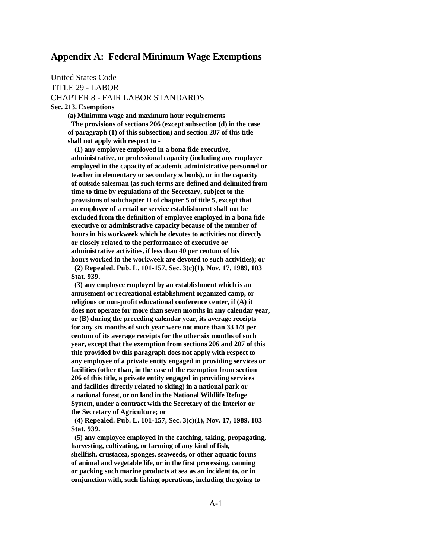#### **Appendix A: Federal Minimum Wage Exemptions**

United States Code TITLE 29 - LABOR CHAPTER 8 - FAIR LABOR STANDARDS

**Sec. 213. Exemptions**

 **(a) Minimum wage and maximum hour requirements**

 **The provisions of sections 206 (except subsection (d) in the case of paragraph (1) of this subsection) and section 207 of this title shall not apply with respect to -**

 **(1) any employee employed in a bona fide executive, administrative, or professional capacity (including any employee employed in the capacity of academic administrative personnel or teacher in elementary or secondary schools), or in the capacity of outside salesman (as such terms are defined and delimited from time to time by regulations of the Secretary, subject to the provisions of subchapter II of chapter 5 of title 5, except that an employee of a retail or service establishment shall not be excluded from the definition of employee employed in a bona fide executive or administrative capacity because of the number of hours in his workweek which he devotes to activities not directly or closely related to the performance of executive or administrative activities, if less than 40 per centum of his hours worked in the workweek are devoted to such activities); or (2) Repealed. Pub. L. 101-157, Sec. 3(c)(1), Nov. 17, 1989, 103 Stat. 939.**

 **(3) any employee employed by an establishment which is an amusement or recreational establishment organized camp, or religious or non-profit educational conference center, if (A) it does not operate for more than seven months in any calendar year, or (B) during the preceding calendar year, its average receipts for any six months of such year were not more than 33 1/3 per centum of its average receipts for the other six months of such year, except that the exemption from sections 206 and 207 of this title provided by this paragraph does not apply with respect to any employee of a private entity engaged in providing services or facilities (other than, in the case of the exemption from section 206 of this title, a private entity engaged in providing services and facilities directly related to skiing) in a national park or a national forest, or on land in the National Wildlife Refuge System, under a contract with the Secretary of the Interior or the Secretary of Agriculture; or**

 **(4) Repealed. Pub. L. 101-157, Sec. 3(c)(1), Nov. 17, 1989, 103 Stat. 939.**

 **(5) any employee employed in the catching, taking, propagating, harvesting, cultivating, or farming of any kind of fish, shellfish, crustacea, sponges, seaweeds, or other aquatic forms of animal and vegetable life, or in the first processing, canning or packing such marine products at sea as an incident to, or in conjunction with, such fishing operations, including the going to**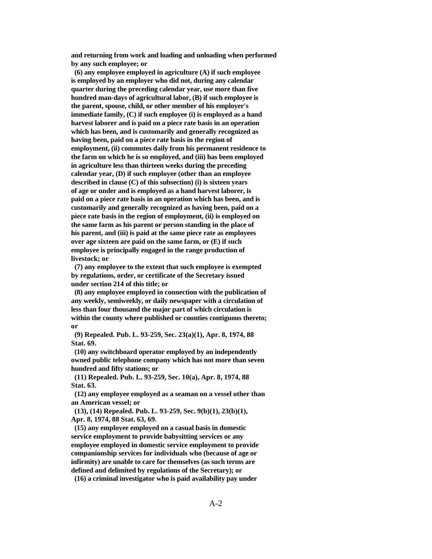**and returning from work and loading and unloading when performed by any such employee; or**

 **(6) any employee employed in agriculture (A) if such employee is employed by an employer who did not, during any calendar quarter during the preceding calendar year, use more than five hundred man-days of agricultural labor, (B) if such employee is the parent, spouse, child, or other member of his employer's immediate family, (C) if such employee (i) is employed as a hand harvest laborer and is paid on a piece rate basis in an operation which has been, and is customarily and generally recognized as having been, paid on a piece rate basis in the region of employment, (ii) commutes daily from his permanent residence to the farm on which he is so employed, and (iii) has been employed in agriculture less than thirteen weeks during the preceding calendar year, (D) if such employee (other than an employee described in clause (C) of this subsection) (i) is sixteen years of age or under and is employed as a hand harvest laborer, is paid on a piece rate basis in an operation which has been, and is customarily and generally recognized as having been, paid on a piece rate basis in the region of employment, (ii) is employed on the same farm as his parent or person standing in the place of his parent, and (iii) is paid at the same piece rate as employees over age sixteen are paid on the same farm, or (E) if such employee is principally engaged in the range production of livestock; or**

 **(7) any employee to the extent that such employee is exempted by regulations, order, or certificate of the Secretary issued under section 214 of this title; or**

 **(8) any employee employed in connection with the publication of any weekly, semiweekly, or daily newspaper with a circulation of less than four thousand the major part of which circulation is within the county where published or counties contiguous thereto; or**

 **(9) Repealed. Pub. L. 93-259, Sec. 23(a)(1), Apr. 8, 1974, 88 Stat. 69.**

 **(10) any switchboard operator employed by an independently owned public telephone company which has not more than seven hundred and fifty stations; or**

 **(11) Repealed. Pub. L. 93-259, Sec. 10(a), Apr. 8, 1974, 88 Stat. 63.**

 **(12) any employee employed as a seaman on a vessel other than an American vessel; or**

 **(13), (14) Repealed. Pub. L. 93-259, Sec. 9(b)(1), 23(b)(1), Apr. 8, 1974, 88 Stat. 63, 69.**

 **(15) any employee employed on a casual basis in domestic service employment to provide babysitting services or any employee employed in domestic service employment to provide companionship services for individuals who (because of age or infirmity) are unable to care for themselves (as such terms are defined and delimited by regulations of the Secretary); or**

 **(16) a criminal investigator who is paid availability pay under**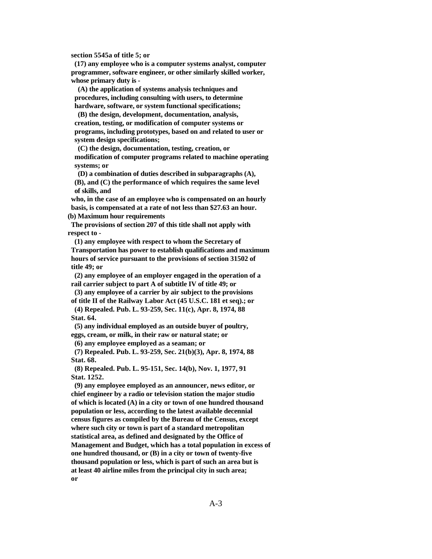**section 5545a of title 5; or**

 **(17) any employee who is a computer systems analyst, computer programmer, software engineer, or other similarly skilled worker, whose primary duty is -**

 **(A) the application of systems analysis techniques and procedures, including consulting with users, to determine hardware, software, or system functional specifications;**

 **(B) the design, development, documentation, analysis, creation, testing, or modification of computer systems or programs, including prototypes, based on and related to user or system design specifications;**

 **(C) the design, documentation, testing, creation, or modification of computer programs related to machine operating systems; or**

 **(D) a combination of duties described in subparagraphs (A), (B), and (C) the performance of which requires the same level of skills, and**

 **who, in the case of an employee who is compensated on an hourly basis, is compensated at a rate of not less than \$27.63 an hour. (b) Maximum hour requirements**

 **The provisions of section 207 of this title shall not apply with respect to -**

 **(1) any employee with respect to whom the Secretary of Transportation has power to establish qualifications and maximum hours of service pursuant to the provisions of section 31502 of title 49; or**

 **(2) any employee of an employer engaged in the operation of a rail carrier subject to part A of subtitle IV of title 49; or**

 **(3) any employee of a carrier by air subject to the provisions of title II of the Railway Labor Act (45 U.S.C. 181 et seq).; or (4) Repealed. Pub. L. 93-259, Sec. 11(c), Apr. 8, 1974, 88**

 **Stat. 64.**

 **(5) any individual employed as an outside buyer of poultry, eggs, cream, or milk, in their raw or natural state; or**

 **(6) any employee employed as a seaman; or**

 **(7) Repealed. Pub. L. 93-259, Sec. 21(b)(3), Apr. 8, 1974, 88 Stat. 68.**

 **(8) Repealed. Pub. L. 95-151, Sec. 14(b), Nov. 1, 1977, 91 Stat. 1252.**

 **(9) any employee employed as an announcer, news editor, or chief engineer by a radio or television station the major studio of which is located (A) in a city or town of one hundred thousand population or less, according to the latest available decennial census figures as compiled by the Bureau of the Census, except where such city or town is part of a standard metropolitan statistical area, as defined and designated by the Office of Management and Budget, which has a total population in excess of one hundred thousand, or (B) in a city or town of twenty-five thousand population or less, which is part of such an area but is at least 40 airline miles from the principal city in such area; or**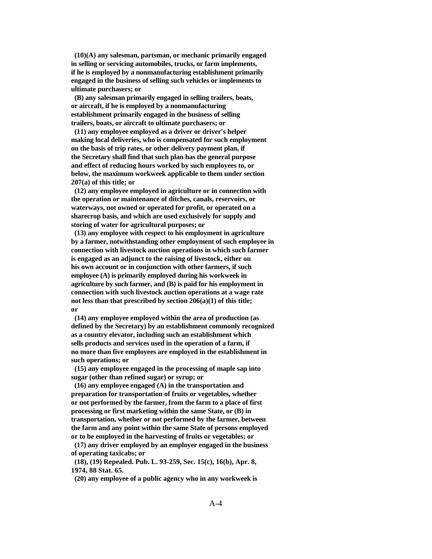**(10)(A) any salesman, partsman, or mechanic primarily engaged in selling or servicing automobiles, trucks, or farm implements, if he is employed by a nonmanufacturing establishment primarily engaged in the business of selling such vehicles or implements to ultimate purchasers; or**

 **(B) any salesman primarily engaged in selling trailers, boats, or aircraft, if he is employed by a nonmanufacturing establishment primarily engaged in the business of selling trailers, boats, or aircraft to ultimate purchasers; or**

 **(11) any employee employed as a driver or driver's helper making local deliveries, who is compensated for such employment on the basis of trip rates, or other delivery payment plan, if the Secretary shall find that such plan has the general purpose and effect of reducing hours worked by such employees to, or below, the maximum workweek applicable to them under section 207(a) of this title; or**

 **(12) any employee employed in agriculture or in connection with the operation or maintenance of ditches, canals, reservoirs, or waterways, not owned or operated for profit, or operated on a sharecrop basis, and which are used exclusively for supply and storing of water for agricultural purposes; or**

 **(13) any employee with respect to his employment in agriculture by a farmer, notwithstanding other employment of such employee in connection with livestock auction operations in which such farmer is engaged as an adjunct to the raising of livestock, either on his own account or in conjunction with other farmers, if such employee (A) is primarily employed during his workweek in agriculture by such farmer, and (B) is paid for his employment in connection with such livestock auction operations at a wage rate not less than that prescribed by section 206(a)(1) of this title; or**

 **(14) any employee employed within the area of production (as defined by the Secretary) by an establishment commonly recognized as a country elevator, including such an establishment which sells products and services used in the operation of a farm, if no more than five employees are employed in the establishment in such operations; or**

 **(15) any employee engaged in the processing of maple sap into sugar (other than refined sugar) or syrup; or**

 **(16) any employee engaged (A) in the transportation and preparation for transportation of fruits or vegetables, whether or not performed by the farmer, from the farm to a place of first processing or first marketing within the same State, or (B) in transportation, whether or not performed by the farmer, between the farm and any point within the same State of persons employed or to be employed in the harvesting of fruits or vegetables; or**

 **(17) any driver employed by an employer engaged in the business of operating taxicabs; or**

 **(18), (19) Repealed. Pub. L. 93-259, Sec. 15(c), 16(b), Apr. 8, 1974, 88 Stat. 65.**

 **(20) any employee of a public agency who in any workweek is**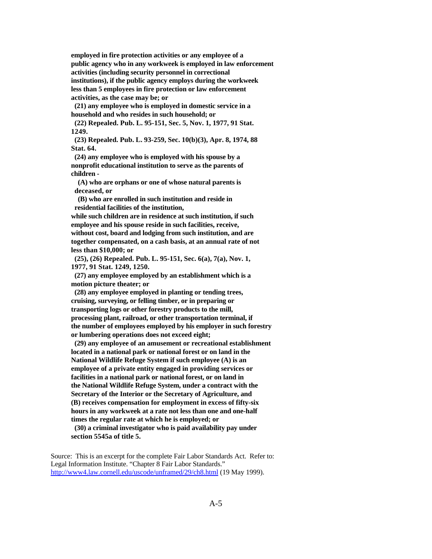**employed in fire protection activities or any employee of a public agency who in any workweek is employed in law enforcement activities (including security personnel in correctional institutions), if the public agency employs during the workweek less than 5 employees in fire protection or law enforcement activities, as the case may be; or**

 **(21) any employee who is employed in domestic service in a household and who resides in such household; or**

 **(22) Repealed. Pub. L. 95-151, Sec. 5, Nov. 1, 1977, 91 Stat. 1249.**

 **(23) Repealed. Pub. L. 93-259, Sec. 10(b)(3), Apr. 8, 1974, 88 Stat. 64.**

 **(24) any employee who is employed with his spouse by a nonprofit educational institution to serve as the parents of children -**

 **(A) who are orphans or one of whose natural parents is deceased, or**

 **(B) who are enrolled in such institution and reside in residential facilities of the institution,**

 **while such children are in residence at such institution, if such employee and his spouse reside in such facilities, receive, without cost, board and lodging from such institution, and are together compensated, on a cash basis, at an annual rate of not less than \$10,000; or**

 **(25), (26) Repealed. Pub. L. 95-151, Sec. 6(a), 7(a), Nov. 1, 1977, 91 Stat. 1249, 1250.**

 **(27) any employee employed by an establishment which is a motion picture theater; or**

 **(28) any employee employed in planting or tending trees, cruising, surveying, or felling timber, or in preparing or transporting logs or other forestry products to the mill, processing plant, railroad, or other transportation terminal, if the number of employees employed by his employer in such forestry or lumbering operations does not exceed eight;**

 **(29) any employee of an amusement or recreational establishment located in a national park or national forest or on land in the National Wildlife Refuge System if such employee (A) is an employee of a private entity engaged in providing services or facilities in a national park or national forest, or on land in the National Wildlife Refuge System, under a contract with the Secretary of the Interior or the Secretary of Agriculture, and (B) receives compensation for employment in excess of fifty-six hours in any workweek at a rate not less than one and one-half times the regular rate at which he is employed; or**

 **(30) a criminal investigator who is paid availability pay under section 5545a of title 5.**

Source: This is an excerpt for the complete Fair Labor Standards Act. Refer to: Legal Information Institute. "Chapter 8 Fair Labor Standards." http://www4.law.cornell.edu/uscode/unframed/29/ch8.html (19 May 1999).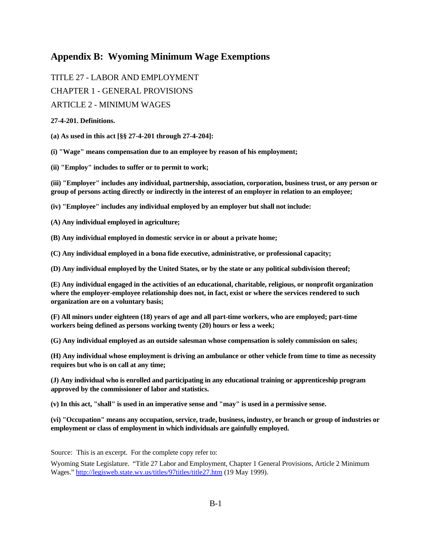### **Appendix B: Wyoming Minimum Wage Exemptions**

TITLE 27 - LABOR AND EMPLOYMENT CHAPTER 1 - GENERAL PROVISIONS

ARTICLE 2 - MINIMUM WAGES

#### **27-4-201. Definitions.**

**(a) As used in this act [§§ 27-4-201 through 27-4-204]:** 

**(i) "Wage" means compensation due to an employee by reason of his employment;** 

**(ii) "Employ" includes to suffer or to permit to work;** 

**(iii) "Employer" includes any individual, partnership, association, corporation, business trust, or any person or group of persons acting directly or indirectly in the interest of an employer in relation to an employee;** 

**(iv) "Employee" includes any individual employed by an employer but shall not include:** 

**(A) Any individual employed in agriculture;** 

**(B) Any individual employed in domestic service in or about a private home;** 

**(C) Any individual employed in a bona fide executive, administrative, or professional capacity;** 

**(D) Any individual employed by the United States, or by the state or any political subdivision thereof;** 

**(E) Any individual engaged in the activities of an educational, charitable, religious, or nonprofit organization where the employer-employee relationship does not, in fact, exist or where the services rendered to such organization are on a voluntary basis;** 

**(F) All minors under eighteen (18) years of age and all part-time workers, who are employed; part-time workers being defined as persons working twenty (20) hours or less a week;** 

**(G) Any individual employed as an outside salesman whose compensation is solely commission on sales;** 

**(H) Any individual whose employment is driving an ambulance or other vehicle from time to time as necessity requires but who is on call at any time;** 

**(J) Any individual who is enrolled and participating in any educational training or apprenticeship program approved by the commissioner of labor and statistics.** 

**(v) In this act, "shall" is used in an imperative sense and "may" is used in a permissive sense.** 

**(vi) "Occupation" means any occupation, service, trade, business, industry, or branch or group of industries or employment or class of employment in which individuals are gainfully employed.**

Source: This is an excerpt. For the complete copy refer to:

Wyoming State Legislature. "Title 27 Labor and Employment, Chapter 1 General Provisions, Article 2 Minimum Wages." http://legisweb.state.wy.us/titles/97titles/title27.htm (19 May 1999).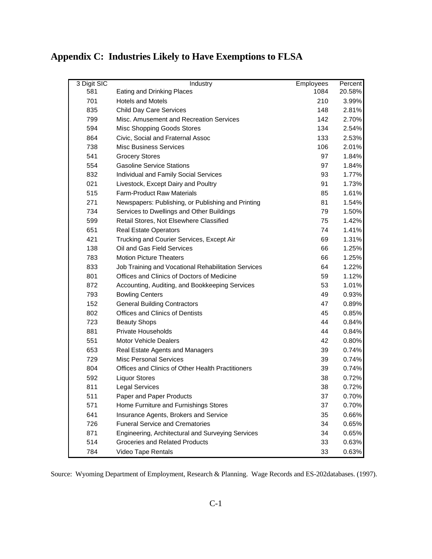| 3 Digit SIC | Industry                                            | Employees | Percent |
|-------------|-----------------------------------------------------|-----------|---------|
| 581         | Eating and Drinking Places                          | 1084      | 20.58%  |
| 701         | <b>Hotels and Motels</b>                            | 210       | 3.99%   |
| 835         | <b>Child Day Care Services</b>                      | 148       | 2.81%   |
| 799         | Misc. Amusement and Recreation Services             | 142       | 2.70%   |
| 594         | Misc Shopping Goods Stores                          | 134       | 2.54%   |
| 864         | Civic, Social and Fraternal Assoc                   | 133       | 2.53%   |
| 738         | <b>Misc Business Services</b>                       | 106       | 2.01%   |
| 541         | <b>Grocery Stores</b>                               | 97        | 1.84%   |
| 554         | <b>Gasoline Service Stations</b>                    | 97        | 1.84%   |
| 832         | Individual and Family Social Services               | 93        | 1.77%   |
| 021         | Livestock, Except Dairy and Poultry                 | 91        | 1.73%   |
| 515         | <b>Farm-Product Raw Materials</b>                   | 85        | 1.61%   |
| 271         | Newspapers: Publishing, or Publishing and Printing  | 81        | 1.54%   |
| 734         | Services to Dwellings and Other Buildings           | 79        | 1.50%   |
| 599         | Retail Stores, Not Elsewhere Classified             | 75        | 1.42%   |
| 651         | <b>Real Estate Operators</b>                        | 74        | 1.41%   |
| 421         | Trucking and Courier Services, Except Air           | 69        | 1.31%   |
| 138         | Oil and Gas Field Services                          | 66        | 1.25%   |
| 783         | <b>Motion Picture Theaters</b>                      | 66        | 1.25%   |
| 833         | Job Training and Vocational Rehabilitation Services | 64        | 1.22%   |
| 801         | Offices and Clinics of Doctors of Medicine          | 59        | 1.12%   |
| 872         | Accounting, Auditing, and Bookkeeping Services      | 53        | 1.01%   |
| 793         | <b>Bowling Centers</b>                              | 49        | 0.93%   |
| 152         | <b>General Building Contractors</b>                 | 47        | 0.89%   |
| 802         | <b>Offices and Clinics of Dentists</b>              | 45        | 0.85%   |
| 723         | <b>Beauty Shops</b>                                 | 44        | 0.84%   |
| 881         | Private Households                                  | 44        | 0.84%   |
| 551         | <b>Motor Vehicle Dealers</b>                        | 42        | 0.80%   |
| 653         | Real Estate Agents and Managers                     | 39        | 0.74%   |
| 729         | <b>Misc Personal Services</b>                       | 39        | 0.74%   |
| 804         | Offices and Clinics of Other Health Practitioners   | 39        | 0.74%   |
| 592         | <b>Liquor Stores</b>                                | 38        | 0.72%   |
| 811         | <b>Legal Services</b>                               | 38        | 0.72%   |
| 511         | Paper and Paper Products                            | 37        | 0.70%   |
| 571         | Home Furniture and Furnishings Stores               | 37        | 0.70%   |
| 641         | Insurance Agents, Brokers and Service               | 35        | 0.66%   |
| 726         | <b>Funeral Service and Crematories</b>              | 34        | 0.65%   |
| 871         | Engineering, Architectural and Surveying Services   | 34        | 0.65%   |
| 514         | <b>Groceries and Related Products</b>               | 33        | 0.63%   |
| 784         | Video Tape Rentals                                  | 33        | 0.63%   |

# **Appendix C: Industries Likely to Have Exemptions to FLSA**

Source: Wyoming Department of Employment, Research & Planning. Wage Records and ES-202databases. (1997).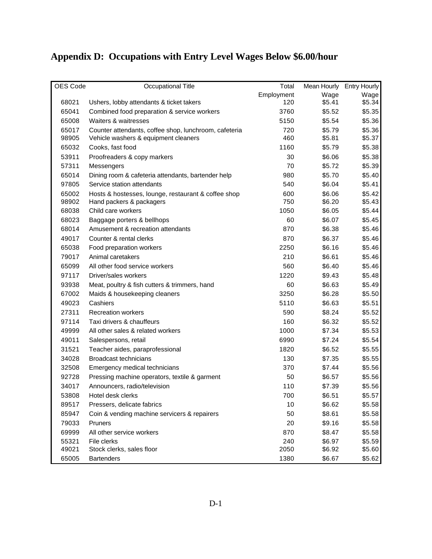# **Appendix D: Occupations with Entry Level Wages Below \$6.00/hour**

| OES Code | Occupational Title                                    | Total      | Mean Hourly Entry Hourly |        |
|----------|-------------------------------------------------------|------------|--------------------------|--------|
|          |                                                       | Employment | Wage                     | Wage   |
| 68021    | Ushers, lobby attendants & ticket takers              | 120        | \$5.41                   | \$5.34 |
| 65041    | Combined food preparation & service workers           | 3760       | \$5.52                   | \$5.35 |
| 65008    | Waiters & waitresses                                  | 5150       | \$5.54                   | \$5.36 |
| 65017    | Counter attendants, coffee shop, lunchroom, cafeteria | 720        | \$5.79                   | \$5.36 |
| 98905    | Vehicle washers & equipment cleaners                  | 460        | \$5.81                   | \$5.37 |
| 65032    | Cooks, fast food                                      | 1160       | \$5.79                   | \$5.38 |
| 53911    | Proofreaders & copy markers                           | 30         | \$6.06                   | \$5.38 |
| 57311    | Messengers                                            | 70         | \$5.72                   | \$5.39 |
| 65014    | Dining room & cafeteria attendants, bartender help    | 980        | \$5.70                   | \$5.40 |
| 97805    | Service station attendants                            | 540        | \$6.04                   | \$5.41 |
| 65002    | Hosts & hostesses, lounge, restaurant & coffee shop   | 600        | \$6.06                   | \$5.42 |
| 98902    | Hand packers & packagers                              | 750        | \$6.20                   | \$5.43 |
| 68038    | Child care workers                                    | 1050       | \$6.05                   | \$5.44 |
| 68023    | Baggage porters & bellhops                            | 60         | \$6.07                   | \$5.45 |
| 68014    | Amusement & recreation attendants                     | 870        | \$6.38                   | \$5.46 |
| 49017    | Counter & rental clerks                               | 870        | \$6.37                   | \$5.46 |
| 65038    | Food preparation workers                              | 2250       | \$6.16                   | \$5.46 |
| 79017    | Animal caretakers                                     | 210        | \$6.61                   | \$5.46 |
| 65099    | All other food service workers                        | 560        | \$6.40                   | \$5.46 |
| 97117    | Driver/sales workers                                  | 1220       | \$9.43                   | \$5.48 |
| 93938    | Meat, poultry & fish cutters & trimmers, hand         | 60         | \$6.63                   | \$5.49 |
| 67002    | Maids & housekeeping cleaners                         | 3250       | \$6.28                   | \$5.50 |
| 49023    | Cashiers                                              | 5110       | \$6.63                   | \$5.51 |
| 27311    | <b>Recreation workers</b>                             | 590        | \$8.24                   | \$5.52 |
| 97114    | Taxi drivers & chauffeurs                             | 160        | \$6.32                   | \$5.52 |
| 49999    | All other sales & related workers                     | 1000       | \$7.34                   | \$5.53 |
| 49011    | Salespersons, retail                                  | 6990       | \$7.24                   | \$5.54 |
| 31521    | Teacher aides, paraprofessional                       | 1820       | \$6.52                   | \$5.55 |
| 34028    | <b>Broadcast technicians</b>                          | 130        | \$7.35                   | \$5.55 |
| 32508    | Emergency medical technicians                         | 370        | \$7.44                   | \$5.56 |
| 92728    | Pressing machine operators, textile & garment         | 50         | \$6.57                   | \$5.56 |
| 34017    | Announcers, radio/television                          | 110        | \$7.39                   | \$5.56 |
| 53808    | Hotel desk clerks                                     | 700        | \$6.51                   | \$5.57 |
| 89517    | Pressers, delicate fabrics                            | 10         | \$6.62                   | \$5.58 |
| 85947    | Coin & vending machine servicers & repairers          | 50         | \$8.61                   | \$5.58 |
| 79033    | Pruners                                               | 20         | \$9.16                   | \$5.58 |
| 69999    | All other service workers                             | 870        | \$8.47                   | \$5.58 |
| 55321    | File clerks                                           | 240        | \$6.97                   | \$5.59 |
| 49021    | Stock clerks, sales floor                             | 2050       | \$6.92                   | \$5.60 |
| 65005    | <b>Bartenders</b>                                     | 1380       | \$6.67                   | \$5.62 |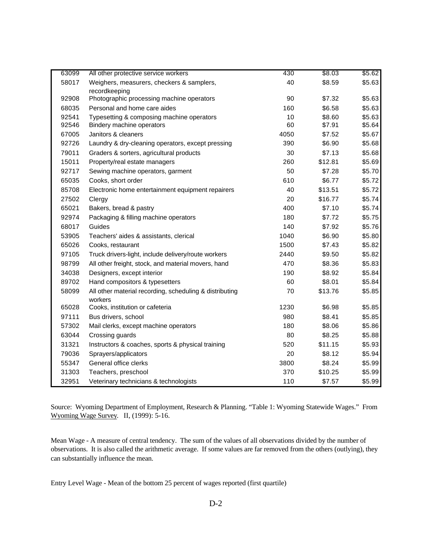| 63099 | All other protective service workers                               | 430  | \$8.03  | \$5.62 |
|-------|--------------------------------------------------------------------|------|---------|--------|
| 58017 | Weighers, measurers, checkers & samplers,                          | 40   | \$8.59  | \$5.63 |
|       | recordkeeping                                                      |      |         |        |
| 92908 | Photographic processing machine operators                          | 90   | \$7.32  | \$5.63 |
| 68035 | Personal and home care aides                                       | 160  | \$6.58  | \$5.63 |
| 92541 | Typesetting & composing machine operators                          | 10   | \$8.60  | \$5.63 |
| 92546 | Bindery machine operators                                          | 60   | \$7.91  | \$5.64 |
| 67005 | Janitors & cleaners                                                | 4050 | \$7.52  | \$5.67 |
| 92726 | Laundry & dry-cleaning operators, except pressing                  | 390  | \$6.90  | \$5.68 |
| 79011 | Graders & sorters, agricultural products                           | 30   | \$7.13  | \$5.68 |
| 15011 | Property/real estate managers                                      | 260  | \$12.81 | \$5.69 |
| 92717 | Sewing machine operators, garment                                  | 50   | \$7.28  | \$5.70 |
| 65035 | Cooks, short order                                                 | 610  | \$6.77  | \$5.72 |
| 85708 | Electronic home entertainment equipment repairers                  | 40   | \$13.51 | \$5.72 |
| 27502 | Clergy                                                             | 20   | \$16.77 | \$5.74 |
| 65021 | Bakers, bread & pastry                                             | 400  | \$7.10  | \$5.74 |
| 92974 | Packaging & filling machine operators                              | 180  | \$7.72  | \$5.75 |
| 68017 | Guides                                                             | 140  | \$7.92  | \$5.76 |
| 53905 | Teachers' aides & assistants, clerical                             | 1040 | \$6.90  | \$5.80 |
| 65026 | Cooks, restaurant                                                  | 1500 | \$7.43  | \$5.82 |
| 97105 | Truck drivers-light, include delivery/route workers                | 2440 | \$9.50  | \$5.82 |
| 98799 | All other freight, stock, and material movers, hand                | 470  | \$8.36  | \$5.83 |
| 34038 | Designers, except interior                                         | 190  | \$8.92  | \$5.84 |
| 89702 | Hand compositors & typesetters                                     | 60   | \$8.01  | \$5.84 |
| 58099 | All other material recording, scheduling & distributing<br>workers | 70   | \$13.76 | \$5.85 |
| 65028 | Cooks, institution or cafeteria                                    | 1230 | \$6.98  | \$5.85 |
| 97111 | Bus drivers, school                                                | 980  | \$8.41  | \$5.85 |
| 57302 | Mail clerks, except machine operators                              | 180  | \$8.06  | \$5.86 |
| 63044 | Crossing guards                                                    | 80   | \$8.25  | \$5.88 |
| 31321 | Instructors & coaches, sports & physical training                  | 520  | \$11.15 | \$5.93 |
| 79036 | Sprayers/applicators                                               | 20   | \$8.12  | \$5.94 |
| 55347 | General office clerks                                              | 3800 | \$8.24  | \$5.99 |
| 31303 | Teachers, preschool                                                | 370  | \$10.25 | \$5.99 |
| 32951 | Veterinary technicians & technologists                             | 110  | \$7.57  | \$5.99 |

Source: Wyoming Department of Employment, Research & Planning. "Table 1: Wyoming Statewide Wages." From Wyoming Wage Survey. II, (1999): 5-16.

Mean Wage - A measure of central tendency. The sum of the values of all observations divided by the number of observations. It is also called the arithmetic average. If some values are far removed from the others (outlying), they can substantially influence the mean.

Entry Level Wage - Mean of the bottom 25 percent of wages reported (first quartile)